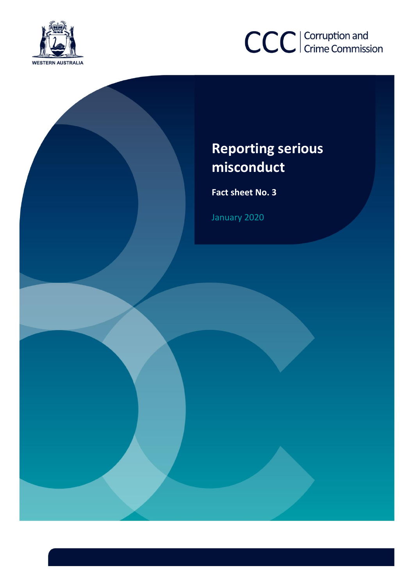



# **Reporting serious misconduct**

**Misconduct Fact sheet No. <sup>3</sup>**

January 2020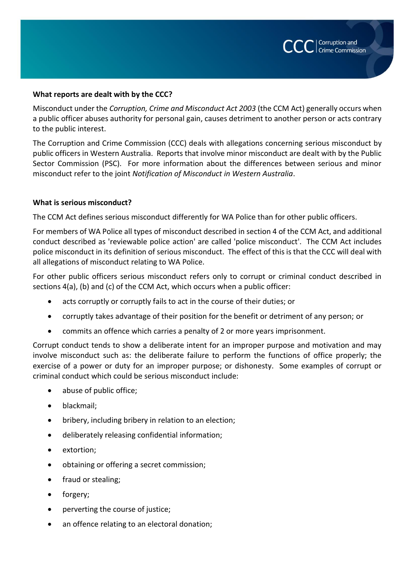

# **What reports are dealt with by the CCC?**

Misconduct under the *Corruption, Crime and Misconduct Act 2003* (the CCM Act) generally occurs when a public officer abuses authority for personal gain, causes detriment to another person or acts contrary to the public interest.

The Corruption and Crime Commission (CCC) deals with allegations concerning serious misconduct by public officers in Western Australia. Reports that involve minor misconduct are dealt with by the Public Sector Commission (PSC). For more information about the differences between serious and minor misconduct refer to the joint *Notification of Misconduct in Western Australia*.

## **What is serious misconduct?**

The CCM Act defines serious misconduct differently for WA Police than for other public officers.

For members of WA Police all types of misconduct described in section 4 of the CCM Act, and additional conduct described as 'reviewable police action' are called 'police misconduct'. The CCM Act includes police misconduct in its definition of serious misconduct. The effect of this is that the CCC will deal with all allegations of misconduct relating to WA Police.

For other public officers serious misconduct refers only to corrupt or criminal conduct described in sections 4(a), (b) and (c) of the CCM Act, which occurs when a public officer:

- acts corruptly or corruptly fails to act in the course of their duties; or
- corruptly takes advantage of their position for the benefit or detriment of any person; or
- commits an offence which carries a penalty of 2 or more years imprisonment.

Corrupt conduct tends to show a deliberate intent for an improper purpose and motivation and may involve misconduct such as: the deliberate failure to perform the functions of office properly; the exercise of a power or duty for an improper purpose; or dishonesty. Some examples of corrupt or criminal conduct which could be serious misconduct include:

- abuse of public office;
- blackmail;
- bribery, including bribery in relation to an election;
- deliberately releasing confidential information;
- extortion;
- obtaining or offering a secret commission;
- fraud or stealing;
- forgery;
- perverting the course of justice;
- an offence relating to an electoral donation;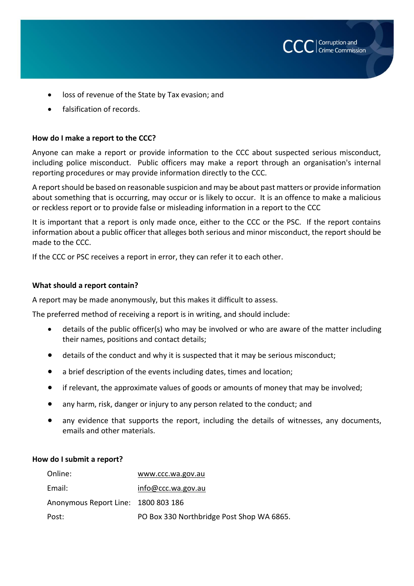- loss of revenue of the State by Tax evasion; and
- falsification of records.

# **How do I make a report to the CCC?**

Anyone can make a report or provide information to the CCC about suspected serious misconduct, including police misconduct. Public officers may make a report through an organisation's internal reporting procedures or may provide information directly to the CCC.

Corruption and Crime Commission

A report should be based on reasonable suspicion and may be about past matters or provide information about something that is occurring, may occur or is likely to occur. It is an offence to make a malicious or reckless report or to provide false or misleading information in a report to the CCC

It is important that a report is only made once, either to the CCC or the PSC. If the report contains information about a public officer that alleges both serious and minor misconduct, the report should be made to the CCC.

If the CCC or PSC receives a report in error, they can refer it to each other.

# **What should a report contain?**

A report may be made anonymously, but this makes it difficult to assess.

The preferred method of receiving a report is in writing, and should include:

- details of the public officer(s) who may be involved or who are aware of the matter including their names, positions and contact details;
- details of the conduct and why it is suspected that it may be serious misconduct;
- a brief description of the events including dates, times and location;
- if relevant, the approximate values of goods or amounts of money that may be involved;
- any harm, risk, danger or injury to any person related to the conduct; and
- any evidence that supports the report, including the details of witnesses, any documents, emails and other materials.

# **How do I submit a report?**

| Online:                             | www.ccc.wa.gov.au                         |
|-------------------------------------|-------------------------------------------|
| Email:                              | info@ccc.wa.gov.au                        |
| Anonymous Report Line: 1800 803 186 |                                           |
| Post:                               | PO Box 330 Northbridge Post Shop WA 6865. |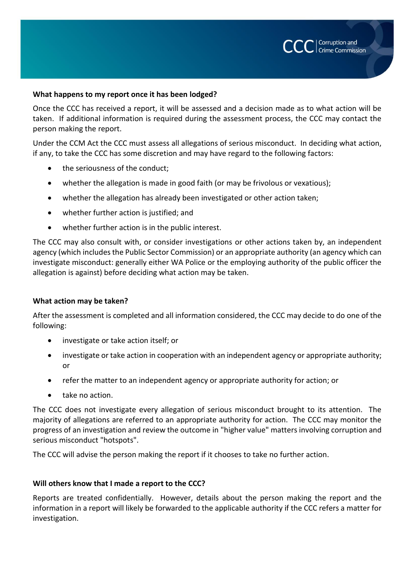# **What happens to my report once it has been lodged?**

Once the CCC has received a report, it will be assessed and a decision made as to what action will be taken. If additional information is required during the assessment process, the CCC may contact the person making the report.

Corruption and Crime Commission

Under the CCM Act the CCC must assess all allegations of serious misconduct. In deciding what action, if any, to take the CCC has some discretion and may have regard to the following factors:

- the seriousness of the conduct;
- whether the allegation is made in good faith (or may be frivolous or vexatious);
- whether the allegation has already been investigated or other action taken;
- whether further action is justified; and
- whether further action is in the public interest.

The CCC may also consult with, or consider investigations or other actions taken by, an independent agency (which includes the Public Sector Commission) or an appropriate authority (an agency which can investigate misconduct: generally either WA Police or the employing authority of the public officer the allegation is against) before deciding what action may be taken.

# **What action may be taken?**

After the assessment is completed and all information considered, the CCC may decide to do one of the following:

- investigate or take action itself; or
- investigate or take action in cooperation with an independent agency or appropriate authority; or
- refer the matter to an independent agency or appropriate authority for action; or
- take no action.

The CCC does not investigate every allegation of serious misconduct brought to its attention. The majority of allegations are referred to an appropriate authority for action. The CCC may monitor the progress of an investigation and review the outcome in "higher value" matters involving corruption and serious misconduct "hotspots".

The CCC will advise the person making the report if it chooses to take no further action.

# **Will others know that I made a report to the CCC?**

Reports are treated confidentially. However, details about the person making the report and the information in a report will likely be forwarded to the applicable authority if the CCC refers a matter for investigation.